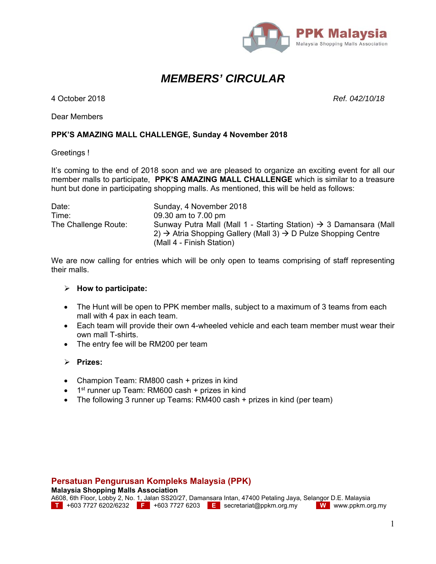

# *MEMBERS' CIRCULAR*

4 October 2018 *Ref. 042/10/18*

Dear Members

### **PPK'S AMAZING MALL CHALLENGE, Sunday 4 November 2018**

#### Greetings !

It's coming to the end of 2018 soon and we are pleased to organize an exciting event for all our member malls to participate, **PPK'S AMAZING MALL CHALLENGE** which is similar to a treasure hunt but done in participating shopping malls. As mentioned, this will be held as follows:

| Date:                | Sunday, 4 November 2018                                                                |
|----------------------|----------------------------------------------------------------------------------------|
| Time:                | 09.30 am to 7.00 pm                                                                    |
| The Challenge Route: | Sunway Putra Mall (Mall 1 - Starting Station) $\rightarrow$ 3 Damansara (Mall          |
|                      | 2) $\rightarrow$ Atria Shopping Gallery (Mall 3) $\rightarrow$ D Pulze Shopping Centre |
|                      | (Mall 4 - Finish Station)                                                              |

We are now calling for entries which will be only open to teams comprising of staff representing their malls.

#### **How to participate:**

- The Hunt will be open to PPK member malls, subject to a maximum of 3 teams from each mall with 4 pax in each team.
- Each team will provide their own 4-wheeled vehicle and each team member must wear their own mall T-shirts.
- The entry fee will be RM200 per team

#### **Prizes:**

- Champion Team: RM800 cash + prizes in kind
- $\bullet$  1<sup>st</sup> runner up Team: RM600 cash + prizes in kind
- The following 3 runner up Teams: RM400 cash + prizes in kind (per team)

## **Persatuan Pengurusan Kompleks Malaysia (PPK)**

**Malaysia Shopping Malls Association** 

A608, 6th Floor, Lobby 2, No. 1, Jalan SS20/27, Damansara Intan, 47400 Petaling Jaya, Selangor D.E. Malaysia<br>T +603 7727 6202/6232 F +603 7727 6203 E secretariat@ppkm.org.my W www.ppkm.org.my **T** +603 7727 6202/6232 **F** +603 7727 6203 **E** secretariat@ppkm.org.my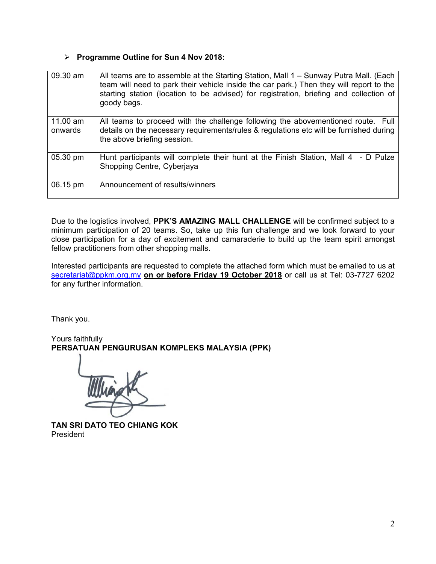## **Programme Outline for Sun 4 Nov 2018:**

| 09.30 am            | All teams are to assemble at the Starting Station, Mall 1 - Sunway Putra Mall. (Each<br>team will need to park their vehicle inside the car park.) Then they will report to the<br>starting station (location to be advised) for registration, briefing and collection of<br>goody bags. |
|---------------------|------------------------------------------------------------------------------------------------------------------------------------------------------------------------------------------------------------------------------------------------------------------------------------------|
| 11.00 am<br>onwards | All teams to proceed with the challenge following the abovementioned route. Full<br>details on the necessary requirements/rules & regulations etc will be furnished during<br>the above briefing session.                                                                                |
| 05.30 pm            | Hunt participants will complete their hunt at the Finish Station, Mall 4 - D Pulze<br>Shopping Centre, Cyberjaya                                                                                                                                                                         |
| 06.15 pm            | Announcement of results/winners                                                                                                                                                                                                                                                          |

Due to the logistics involved, **PPK'S AMAZING MALL CHALLENGE** will be confirmed subject to a minimum participation of 20 teams. So, take up this fun challenge and we look forward to your close participation for a day of excitement and camaraderie to build up the team spirit amongst fellow practitioners from other shopping malls.

Interested participants are requested to complete the attached form which must be emailed to us at secretariat@ppkm.org.my **on or before Friday 19 October 2018** or call us at Tel: 03-7727 6202 for any further information.

Thank you.

Yours faithfully **PERSATUAN PENGURUSAN KOMPLEKS MALAYSIA (PPK)** 

**TAN SRI DATO TEO CHIANG KOK**  President